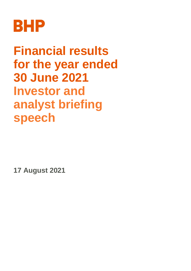

**Financial results for the year ended 30 June 2021 Investor and analyst briefing speech**

**17 August 2021**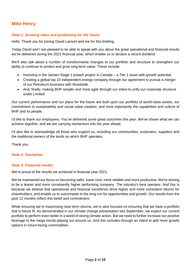# **Mike Henry**

### **Slide 1: Growing value and positioning for the future**

Hello. Thank you for joining David Lamont and me for this briefing.

Today David and I are pleased to be able to speak with you about the great operational and financial results we've delivered during the 2021 financial year, which enable us to declare a record dividend.

We'll also talk about a number of transformative changes to our portfolio and structure to strengthen our ability to continue to protect and grow long-term value. These include:

- · Investing in the Jansen Stage 1 potash project in Canada a Tier 1 asset with growth potential.
- · Creating a global top 10 independent energy company through our agreement to pursue a merger of our Petroleum business with Woodside.
- · And, finally, making BHP simpler and more agile through our intent to unify our corporate structure under Limited.

Our current performance and our plans for the future are built upon our portfolio of world-class assets, our commitment to sustainability and social value creation, and most importantly the capabilities and culture of BHP and its people.

I'd like to thank our employees. You've delivered some great outcomes this year. We've shown what we can achieve together, and we are carrying momentum into the year ahead.

I'd also like to acknowledge all those who support us, including our communities, customers, suppliers and the traditional owners of the lands on which BHP operates.

Thank you.

#### **Slide 2: Disclaimer**

#### **Slide 3: Financial results**

We're proud of the results we achieved in financial year 2021.

We've maintained our focus on becoming safer, lower cost, more reliable and more productive. We're striving to be a leaner and more consistently higher performing company. The industry's best operator. And this is because we believe that operational and financial excellence drive higher and more consistent returns for shareholders, and enable us to outcompete in the long-run for opportunities and growth. Our results from the past 12 months reflect this belief and commitment.

While ensuring we're maximising near-term returns, we're also focused on ensuring that we have a portfolio that is future fit. As demonstrated in our climate change presentation last September, we expect our current portfolio to perform even better in a world of strong climate action. But we need to further increase our positive leverage to the mega trends playing out around us. And this includes through an intent to add more growth options in future-facing commodities.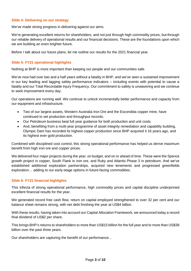#### **Slide 4: Delivering on our strategy**

We've made strong progress in delivering against our aims.

We're generating excellent returns for shareholders, and not just through high commodity prices, but through our reliable delivery of operational results and our financial decisions. These are the foundations upon which we are building an even brighter future.

Before I talk about our future plans, let me outline our results for the 2021 financial year.

#### **Slide 5: FY21 operational highlights**

Nothing at BHP is more important than keeping our people and our communities safe.

We've now had over two and a half years without a fatality in BHP, and we've seen a sustained improvement in our key leading and lagging safety performance indicators – including events with potential to cause a fatality and our Total Recordable Injury Frequency. Our commitment to safety is unwavering and we continue to seek improvement every day.

Our operations are running well. We continue to unlock incrementally better performance and capacity from our equipment and infrastructure.

- · Two of our largest assets, Western Australia Iron Ore and the Escondida copper mine, have continued to set production and throughput records.
- · Our Petroleum business beat full year guidance for both production and unit costs.
- · And, benefiting from a multi-year programme of asset integrity remediation and capability building, Olympic Dam has recorded its highest copper production since BHP acquired it 16 years ago, and its highest ever gold production.

Combined with disciplined cost control, this strong operational performance has helped us derive maximum benefit from high iron ore and copper prices.

We delivered four major projects during the year, on budget, and on or ahead of time. These were the Spence growth project in copper, South Flank in iron ore, and Ruby and Atlantis Phase 3 in petroleum. And we've established additional exploration partnerships, acquired new tenements and progressed greenfields exploration… adding to our early-stage options in future-facing commodities.

#### **Slide 6: FY21 financial highlights**

This trifecta of strong operational performance, high commodity prices and capital discipline underpinned excellent financial results for the year.

We generated record free cash flow, return on capital employed strengthened to over 32 per cent and our balance sheet remains strong, with net debt finishing the year at US\$4 billion.

With these results, having taken into account our Capital Allocation Framework, we announced today a record final dividend of US\$2 per share.

This brings BHP's returns to shareholders to more than US\$15 billion for the full year and to more than US\$38 billion over the past three years.

Our shareholders are capturing the benefit of our performance...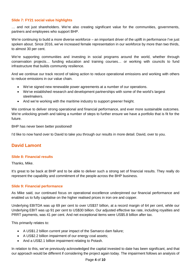## **Slide 7: FY21 social value highlights**

… and not just shareholders. We're also creating significant value for the communities, governments, partners and employees who support BHP.

We're continuing to build a more diverse workforce – an important driver of the uplift in performance I've just spoken about. Since 2016, we've increased female representation in our workforce by more than two thirds, to almost 30 per cent.

We're supporting communities and investing in social programs around the world, whether through conservation projects… funding education and training courses… or working with councils to fund infrastructure that builds community resilience.

And we continue our track record of taking action to reduce operational emissions and working with others to reduce emissions in our value chain.

- · We've signed new renewable power agreements at a number of our operations.
- · We've established research and development partnerships with some of the world's largest steelmakers.
- And we're working with the maritime industry to support greener freight.

We continue to deliver strong operational and financial performance, and ever more sustainable outcomes. We're unlocking growth and taking a number of steps to further ensure we have a portfolio that is fit for the future.

BHP has never been better positioned!

I'd like to now hand over to David to take you through our results in more detail. David, over to you.

## **David Lamont**

#### **Slide 8: Financial results**

Thanks, Mike.

It's great to be back at BHP and to be able to deliver such a strong set of financial results. They really do represent the capability and commitment of the people across the BHP business.

#### **Slide 9: Financial performance**

As Mike said, our continued focus on operational excellence underpinned our financial performance and enabled us to fully capitalise on the higher realised prices in iron ore and copper.

Underlying EBITDA was up 69 per cent to over US\$37 billion, at a record margin of 64 per cent, while our Underlying EBIT was up 91 per cent to US\$30 billion. Our adjusted effective tax rate, including royalties and PRRT payments, was 41 per cent. And net exceptional items were US\$5.8 billion after tax.

This primarily relates to:

- · A US\$1.2 billion current year impact of the Samarco dam failure;
- · A US\$2.2 billion impairment of our energy coal assets;
- And a US\$2.1 billion impairment relating to Potash.

In relation to this, we've previously acknowledged the capital invested to date has been significant, and that our approach would be different if considering the project again today. The impairment follows an analysis of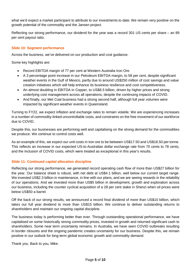what we'd expect a market participant to attribute to our investments to date. We remain very positive on the growth potential of the commodity and the Jansen project.

Reflecting our strong performance, our dividend for the year was a record 301 US cents per share – an 89 per cent payout ratio.

## **Slide 10: Segment performance**

Across the business, we've delivered on our production and cost guidance.

Some key highlights are:

- · Record EBITDA margin of 77 per cent at Western Australia Iron Ore.
- · A 3 percentage point increase in our Petroleum EBITDA margin, to 58 per cent, despite significant weather events in the Gulf of Mexico, partly due to around US\$250 million of cost savings and value creation initiatives which will help enhance its business resilience and cost competitiveness.
- An almost doubling in EBITDA in Copper, to US\$8.5 billion, driven by higher prices and strong underlying cost management across all operations, despite the continuing impacts of COVID.
- And finally, our Met Coal business had a strong second half, although full year volumes were impacted by significant weather events in Queensland.

Turning to FY22, we expect inflation and exchange rates to remain volatile. We are experiencing increases in a number of commodity-linked uncontrollable costs, and constraints on the free movement of our workforce due to COVID.

Despite this, our businesses are performing well and capitalising on the strong demand for the commodities we produce. We continue to control costs well.

As an example of this, we expect our unit costs in iron ore to be between US\$17.50 and US\$18.50 per tonne. This reflects an increase in our expected US-to-Australian dollar exchange rate from 70 cents to 78 cents, and the inclusion of COVID costs, which were treated as exceptional in this year's results.

## **Slide 11: Continued capital allocation discipline**

Reflecting our strong performance, we generated record operating cash flow of more than US\$27 billion for the year. Our balance sheet is robust, with net debt at US\$4.1 billion, well below our current target range. We invested US\$2.3 billion in maintenance, in line with our plans, and we are seeing rewards in the reliability of our operations. And we invested more than US\$5 billion in development, growth and exploration across our business, including the counter cyclical acquisition of a 28 per cent stake in Shenzi when oil prices were below US\$50 a barrel.

Off the back of our strong results, we announced a record final dividend of more than US\$10 billion, which takes our full year dividend to more than US\$15 billion. We continue to deliver outstanding returns to shareholders and maintain our ongoing capital discipline.

The business today is performing better than ever. Through outstanding operational performance, we have capitalised on some historically strong commodity prices, invested in growth and returned significant cash to shareholders. Some near term uncertainty remains. In Australia, we have seen COVID outbreaks resulting in border closures and the ongoing pandemic creates uncertainty for our business. Despite this, we remain positive in our outlook for long-term global economic growth and commodity demand.

Thank you. Back to you, Mike.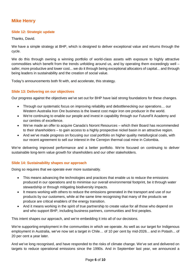# **Mike Henry**

## **Slide 12: Strategic update**

Thanks, David.

We have a simple strategy at BHP, which is designed to deliver exceptional value and returns through the cycle.

We do this through owning a winning portfolio of world-class assets with exposure to highly attractive commodities which benefit from the trends unfolding around us, and by operating them exceedingly well – safer, more productive and lower cost... we do it through being exceptional allocators of capital... and through being leaders in sustainability and the creation of social value.

Today's announcements both fit with, and accelerate, this strategy.

### **Slide 13: Delivering on our objectives**

Our progress against the objectives we've set out for BHP have laid strong foundations for these changes.

- · Through our systematic focus on improving reliability and debottlenecking our operations… our Western Australia Iron Ore business is the lowest cost major iron ore producer in the world.
- · We're continuing to enable our people and invest in capability through our FutureFit Academy and our centres of excellence.
- · We've made an offer to acquire Canada's Noront Resources which their Board has recommended to their shareholders – to gain access to a highly prospective nickel basin in an attractive region.
- · And we've made progress on focusing our coal portfolio on higher quality metallurgical coals, with our recent agreement to sell our interest in the Cerrejon thermal coal mine in Colombia.

We're delivering improved performance and a better portfolio. We're focused on continuing to deliver sustainable long-term value growth for shareholders and our other stakeholders.

#### **Slide 14: Sustainability shapes our approach**

Doing so requires that we operate ever more sustainably.

- · This means advancing the technologies and practices that enable us to reduce the emissions produced in our operations and to minimise our overall environmental footprint, be it through water stewardship or through mitigating biodiversity impacts.
- · It means working with others to reduce the emissions generated in the transport and use of our products by our customers, while at the same time recognising that many of the products we produce are critical enablers of the energy transition.
- And it means working in the spirit of true partnership to create value for all those who depend on and who support BHP, including business partners, communities and first peoples.

This intent shapes our approach, and we're embedding it into all of our decisions.

We're supporting employment in the communities in which we operate. As well as our target for Indigenous employment in Australia, we've now set a target in Chile… of 10 per cent by mid-2026... and in Potash... of 20 per cent a year later.

And we've long recognised, and have responded to the risks of climate change. We've set and delivered on targets to reduce operational emissions since the 1990s. And in September last year, we announced a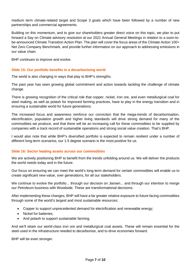medium term climate-related target and Scope 3 goals which have been followed by a number of new partnerships and commercial agreements.

Building on this momentum, and to give our shareholders greater direct voice on this topic, we plan to put forward a Say on Climate advisory resolution at our 2021 Annual General Meetings in relation to a soon-tobe-announced Climate Transition Action Plan. The plan will cover the focus areas of the Climate Action 100+ Net Zero Company Benchmark, and provide further information on our approach to addressing emissions in our value chain.

BHP continues to improve and evolve.

## **Slide 15: Our portfolio benefits in a decarbonising world**

The world is also changing in ways that play to BHP's strengths.

The past year has seen growing global commitment and action towards tackling the challenge of climate change.

There is growing recognition of the critical role that copper, nickel, iron ore, and even metallurgical coal for steel making, as well as potash for improved farming practices, have to play in the energy transition and in ensuring a sustainable world for future generations.

The increased focus and awareness reinforce our conviction that the mega-trends of decarbonisation, electrification, population growth and higher living standards will drive strong demand for many of the commodities we produce, and that there will be an increasing call for these commodities to be supplied by companies with a track record of sustainable operations and strong social value creation. That's BHP.

I would also note that while BHP's diversified portfolio is expected to remain resilient under a number of different long-term scenarios, our 1.5 degree scenario is the most positive for us.

#### **Slide 16: Sector leading assets across our commodities**

We are actively positioning BHP to benefit from the trends unfolding around us. We will deliver the products the world needs today and in the future.

Our focus on ensuring we can meet the world's long-term demand for certain commodities will enable us to create significant new value, over generations, for all our stakeholders.

We continue to evolve the portfolio... through our decision on Jansen... and through our intention to merge our Petroleum business with Woodside. These are transformational decisions.

After implementing these changes, BHP will have a far greater relative exposure to future facing commodities through some of the world's largest and most sustainable resources:

- · Copper to support unprecedented demand for electrification and renewable energy;
- · Nickel for batteries;
- And potash to support sustainable farming.

And we'll retain our world-class iron ore and metallurgical coal assets. These will remain essential for the steel used in the infrastructure needed to decarbonise, and to drive economies forward.

BHP will be even stronger.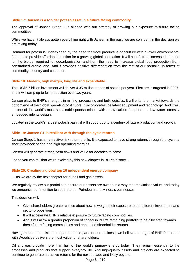### **Slide 17: Jansen is a top tier potash asset in a future facing commodity**

The approval of Jansen Stage 1 is aligned with our strategy of growing our exposure to future facing commodities.

While we haven't always gotten everything right with Jansen in the past, we are confident in the decision we are taking today.

Demand for potash is underpinned by the need for more productive agriculture with a lower environmental footprint to provide affordable nutrition for a growing global population. It will benefit from increased demand for the biofuel required for decarbonisation and from the need to increase global food production from constrained arable land. And it provides positive differentiation from the rest of our portfolio, in terms of commodity, country and customer.

### **Slide 18: Modern, high margin, long life and expandable**

The US\$5.7 billion investment will deliver 4.35 million tonnes of potash per year. First ore is targeted in 2027, and it will ramp up to full production over two years.

Jansen plays to BHP's strengths in mining, processing and bulk logistics. It will enter the market towards the bottom end of the global operating cost curve. It incorporates the latest equipment and technology. And it will be one of the world's most sustainable potash mines, with a low carbon footprint and low water intensity embedded into its design.

Located in the world's largest potash basin, it will support up to a century of future production and growth.

### **Slide 19: Jansen S1 is resilient with through the cycle returns**

Jansen Stage 1 has an attractive risk-return profile. It is expected to have strong returns through the cycle, a short pay-back period and high operating margins.

Jansen will generate strong cash flows and value for decades to come.

I hope you can tell that we're excited by this new chapter in BHP's history…

## **Slide 20: Creating a global top 10 independent energy company**

… as we are by the next chapter for our oil and gas assets.

We regularly review our portfolio to ensure our assets are owned in a way that maximises value, and today we announce our intention to separate our Petroleum and Minerals businesses.

This decision will:

- · Give shareholders greater choice about how to weight their exposure to the different investment and sector propositions.
- · It will accelerate BHP's relative exposure to future facing commodities.
- · And it will allow a greater proportion of capital in BHP's remaining portfolio to be allocated towards these future facing commodities and enhanced shareholder returns.

Having made the decision to separate these parts of our business, we believe a merger of BHP Petroleum with Woodside delivers the most value for shareholders.

Oil and gas provide more than half of the world's primary energy today. They remain essential to the processes and products that support everyday life. And high-quality assets and projects are expected to continue to generate attractive returns for the next decade and likely beyond.

#### Page **8** of **10**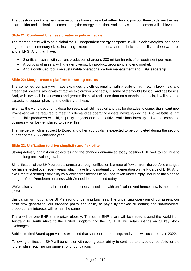The question is not whether these resources have a role – but rather, how to position them to deliver the best shareholder and societal outcomes during the energy transition. And today's announcement will achieve that.

## **Slide 21: Combined business creates significant scale**

The merged entity will to be a global top 10 independent energy company. It will unlock synergies, and bring together complementary skills, including exceptional operational and technical capability in deep-water oil and in LNG. And it will have:

- Significant scale, with current production of around 200 million barrels of oil equivalent per year;
- · A portfolio of assets, with greater diversity by product, geography and end market;
- · And a continued focus on sustainable operations, carbon management and ESG leadership.

### **Slide 22: Merger creates platform for strong returns**

The combined company will have expanded growth optionality, with a suite of high-return brownfield and greenfield projects, along with attractive exploration prospects, in some of the world's best oil and gas basins. And, with low cash break-evens and greater financial resilience than on a standalone basis, it will have the capacity to support phasing and delivery of these.

Even as the world's economy decarbonises, it will still need oil and gas for decades to come. Significant new investment will be required to meet this demand as operating assets inevitably decline. And we believe that responsible producers with high-quality projects and competitive emissions intensity – like the combined business – will be well placed to deliver this.

The merger, which is subject to Board and other approvals, is expected to be completed during the second quarter of the 2022 calendar year.

## **Slide 23: Unification to drive simplicity and flexibility**

Strong delivery against our objectives and the changes announced today position BHP well to continue to pursue long-term value growth.

Simplification of the BHP corporate structure through unification is a natural flow on from the portfolio changes we have effected over recent years, which have left no material profit generation on the Plc side of BHP. And, it will improve strategic flexibility by allowing transactions to be undertaken more simply, including the planned merger of our Petroleum business with Woodside announced today.

We've also seen a material reduction in the costs associated with unification. And hence, now is the time to unify!

Unification will not change BHP's strong underlying business. The underlying operation of our assets; our cash flow generation; our dividend policy and ability to pay fully franked dividends; and shareholders' proportionate interests will remain the same.

There will be one BHP share price, globally. The same BHP share will be traded around the world from Australia to South Africa to the United Kingdom and the US. BHP will retain listings on all key stock exchanges.

Subject to final Board approval, it's expected that shareholder meetings and votes will occur early in 2022.

Following unification, BHP will be simpler with even greater ability to continue to shape our portfolio for the future, while retaining our same strong foundations.